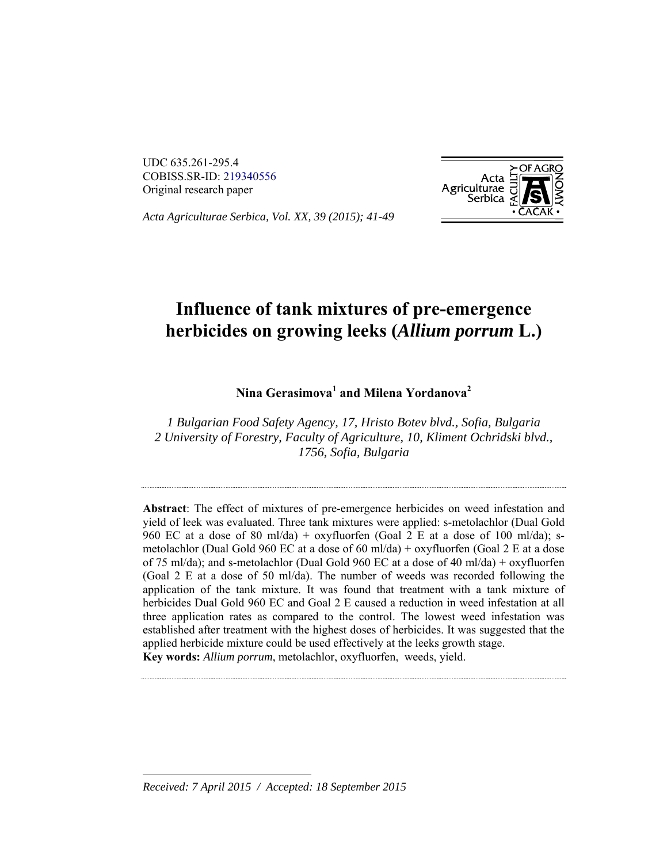UDC 635.261-295.4 COBISS.SR-ID: 219340556 Original research paper



*Acta Agriculturae Serbica, Vol. XX, 39 (2015); 41-49;*

# **Influence of tank mixtures of pre-emergence herbicides on growing leeks (***Allium porrum* **L.)**

### **Nina Gerasimova<sup>1</sup> and Milena Yordanova2**

*1 Bulgarian Food Safety Agency, 17, Hristo Botev blvd., Sofia, Bulgaria 2 University of Forestry, Faculty of Agriculture, 10, Kliment Ochridski blvd., 1756, Sofia, Bulgaria* 

**Abstract**: The effect of mixtures of pre-emergence herbicides on weed infestation and yield of leek was evaluated. Three tank mixtures were applied: s-metolachlor (Dual Gold 960 EC at a dose of 80 ml/da) + oxyfluorfen (Goal 2 E at a dose of 100 ml/da); smetolachlor (Dual Gold 960 EC at a dose of 60 ml/da) + oxyfluorfen (Goal 2 E at a dose of 75 ml/da); and s-metolachlor (Dual Gold 960 EC at a dose of 40 ml/da) + oxyfluorfen (Goal 2 E at a dose of 50 ml/da). The number of weeds was recorded following the application of the tank mixture. It was found that treatment with a tank mixture of herbicides Dual Gold 960 EC and Goal 2 E caused a reduction in weed infestation at all three application rates as compared to the control. The lowest weed infestation was established after treatment with the highest doses of herbicides. It was suggested that the applied herbicide mixture could be used effectively at the leeks growth stage. **Key words:** *Allium porrum*, metolachlor, oxyfluorfen, weeds, yield.

*Received: 7 April 2015 / Accepted: 18 September 2015* 

l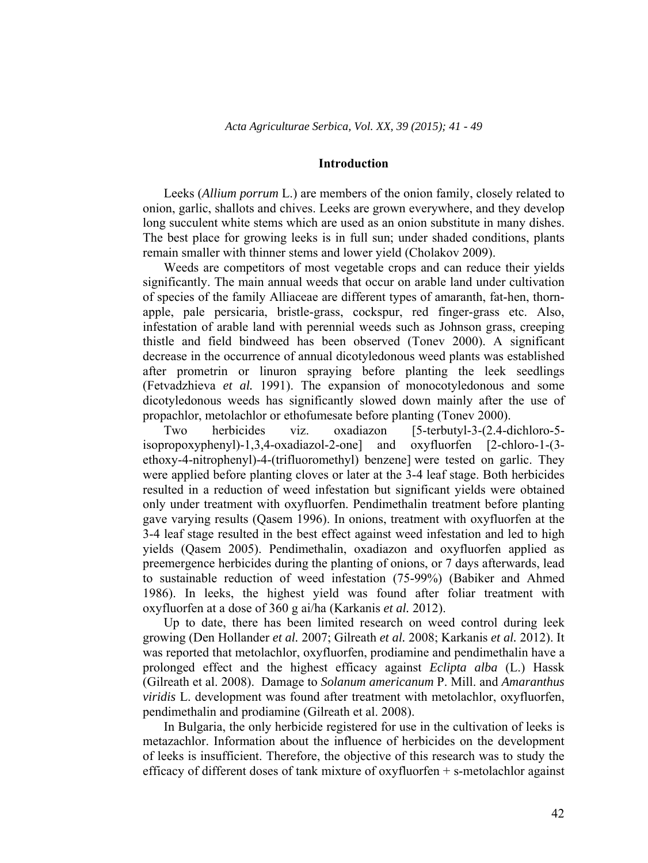#### **Introduction**

Leeks (*Allium porrum* L.) are members of the onion family, closely related to onion, garlic, shallots and chives. Leeks are grown everywhere, and they develop long succulent white stems which are used as an onion substitute in many dishes. The best place for growing leeks is in full sun; under shaded conditions, plants remain smaller with thinner stems and lower yield (Cholakov 2009).

Weeds are competitors of most vegetable crops and can reduce their yields significantly. The main annual weeds that occur on arable land under cultivation of species of the family Alliaceae are different types of amaranth, fat-hen, thornapple, pale persicaria, bristle-grass, cockspur, red finger-grass etc. Also, infestation of arable land with perennial weeds such as Johnson grass, creeping thistle and field bindweed has been observed (Tonev 2000). A significant decrease in the occurrence of annual dicotyledonous weed plants was established after prometrin or linuron spraying before planting the leek seedlings (Fetvadzhieva *et al.* 1991). The expansion of monocotyledonous and some dicotyledonous weeds has significantly slowed down mainly after the use of propachlor, metolachlor or ethofumesate before planting (Tonev 2000).

Two herbicides viz. oxadiazon [5-terbutyl-3-(2.4-dichloro-5 isopropoxyphenyl)-1,3,4-oxadiazol-2-one] and oxyfluorfen [2-chloro-1-(3 ethoxy-4-nitrophenyl)-4-(trifluoromethyl) benzene] were tested on garlic. They were applied before planting cloves or later at the 3-4 leaf stage. Both herbicides resulted in a reduction of weed infestation but significant yields were obtained only under treatment with oxyfluorfen. Pendimethalin treatment before planting gave varying results (Qasem 1996). In onions, treatment with oxyfluorfen at the 3-4 leaf stage resulted in the best effect against weed infestation and led to high yields (Qasem 2005). Pendimethalin, oxadiazon and oxyfluorfen applied as preemergence herbicides during the planting of onions, or 7 days afterwards, lead to sustainable reduction of weed infestation (75-99%) (Babiker and Ahmed 1986). In leeks, the highest yield was found after foliar treatment with oxyfluorfen at a dose of 360 g ai/ha (Karkanis *et al.* 2012).

Up to date, there has been limited research on weed control during leek growing (Den Hollander *et al.* 2007; Gilreath *et al.* 2008; Karkanis *et al.* 2012). It was reported that metolachlor, oxyfluorfen, prodiamine and pendimethalin have a prolonged effect and the highest efficacy against *Eclipta alba* (L.) Hassk (Gilreath et al. 2008). Damage to *Solanum americanum* P. Mill. and *Amaranthus viridis* L. development was found after treatment with metolachlor, oxyfluorfen, pendimethalin and prodiamine (Gilreath et al. 2008).

In Bulgaria, the only herbicide registered for use in the cultivation of leeks is metazachlor. Information about the influence of herbicides on the development of leeks is insufficient. Therefore, the objective of this research was to study the efficacy of different doses of tank mixture of oxyfluorfen + s-metolachlor against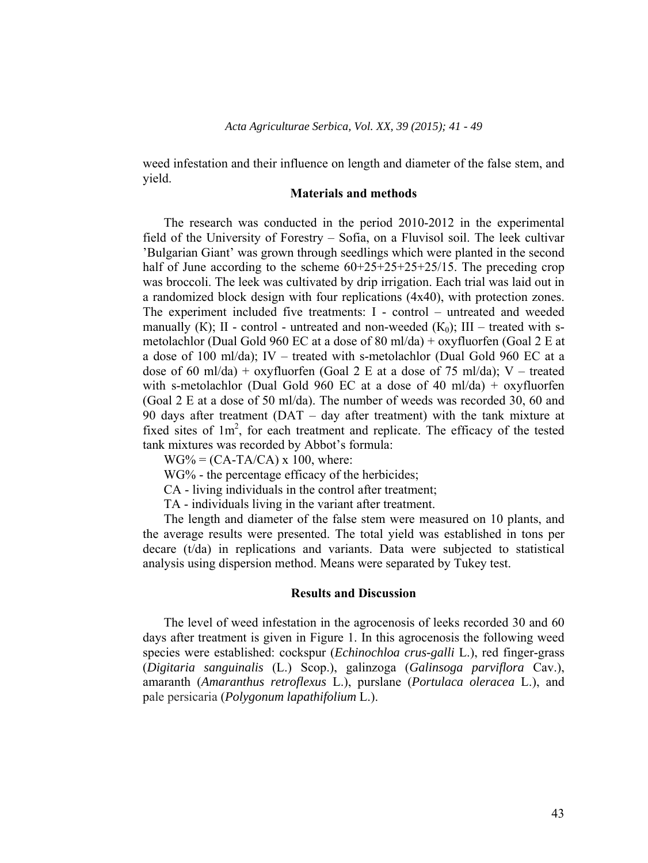weed infestation and their influence on length and diameter of the false stem, and yield.

#### **Materials and methods**

The research was conducted in the period 2010-2012 in the experimental field of the University of Forestry – Sofia, on a Fluvisol soil. The leek cultivar 'Bulgarian Giant' was grown through seedlings which were planted in the second half of June according to the scheme  $60+25+25+25+25/15$ . The preceding crop was broccoli. The leek was cultivated by drip irrigation. Each trial was laid out in a randomized block design with four replications (4x40), with protection zones. The experiment included five treatments: I - control – untreated and weeded manually (K); II - control - untreated and non-weeded  $(K_0)$ ; III – treated with smetolachlor (Dual Gold 960 EC at a dose of 80 ml/da) + oxyfluorfen (Goal 2 E at a dose of 100 ml/da); IV – treated with s-metolachlor (Dual Gold 960 EC at a dose of 60 ml/da) + oxyfluorfen (Goal 2 E at a dose of 75 ml/da); V – treated with s-metolachlor (Dual Gold 960 EC at a dose of 40 ml/da) + oxyfluorfen (Goal 2 E at a dose of 50 ml/da). The number of weeds was recorded 30, 60 and 90 days after treatment (DAT – day after treatment) with the tank mixture at fixed sites of  $1m^2$ , for each treatment and replicate. The efficacy of the tested tank mixtures was recorded by Abbot's formula:

 $WG\% = (CA-TA/CA) \times 100$ , where:

WG% - the percentage efficacy of the herbicides;

CA - living individuals in the control after treatment;

TA - individuals living in the variant after treatment.

The length and diameter of the false stem were measured on 10 plants, and the average results were presented. The total yield was established in tons per decare (t/da) in replications and variants. Data were subjected to statistical analysis using dispersion method. Means were separated by Tukey test.

#### **Results and Discussion**

The level of weed infestation in the agrocenosis of leeks recorded 30 and 60 days after treatment is given in Figure 1. In this agrocenosis the following weed species were established: cockspur (*Echinochloa crus-galli* L.), red finger-grass (*Digitaria sanguinalis* (L.) Scop.), galinzoga (*Galinsoga parviflora* Cav.), amaranth (*Amaranthus retroflexus* L.), purslane (*Portulaca oleracea* L.), and pale persicaria (*Polygonum lapathifolium* L.).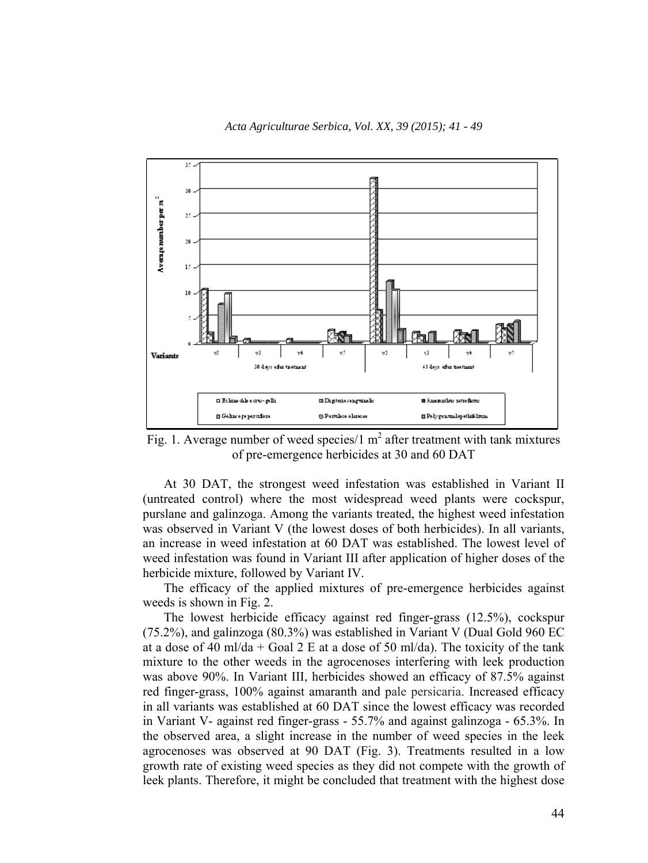

Fig. 1. Average number of weed species/1  $m^2$  after treatment with tank mixtures of pre-emergence herbicides at 30 and 60 DAT

At 30 DAT, the strongest weed infestation was established in Variant II (untreated control) where the most widespread weed plants were cockspur, purslane and galinzoga. Among the variants treated, the highest weed infestation was observed in Variant V (the lowest doses of both herbicides). In all variants, an increase in weed infestation at 60 DAT was established. The lowest level of weed infestation was found in Variant III after application of higher doses of the herbicide mixture, followed by Variant IV.

The efficacy of the applied mixtures of pre-emergence herbicides against weeds is shown in Fig. 2.

The lowest herbicide efficacy against red finger-grass (12.5%), cockspur (75.2%), and galinzoga (80.3%) was established in Variant V (Dual Gold 960 EC at a dose of 40 ml/da + Goal 2 E at a dose of 50 ml/da). The toxicity of the tank mixture to the other weeds in the agrocenoses interfering with leek production was above 90%. In Variant III, herbicides showed an efficacy of 87.5% against red finger-grass, 100% against amaranth and pale persicaria. Increased efficacy in all variants was established at 60 DAT since the lowest efficacy was recorded in Variant V- against red finger-grass - 55.7% and against galinzoga - 65.3%. In the observed area, a slight increase in the number of weed species in the leek agrocenoses was observed at 90 DAT (Fig. 3). Treatments resulted in a low growth rate of existing weed species as they did not compete with the growth of leek plants. Therefore, it might be concluded that treatment with the highest dose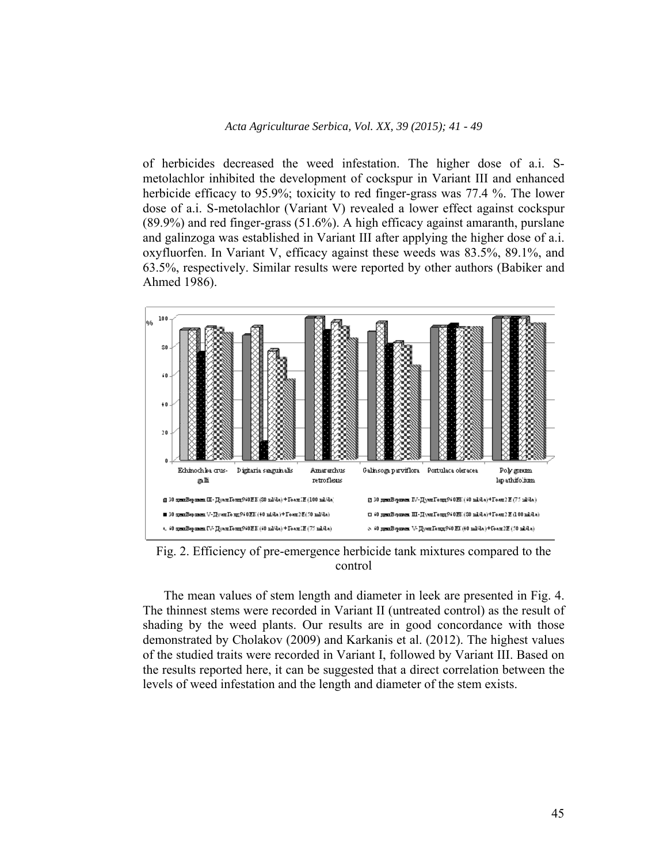of herbicides decreased the weed infestation. The higher dose of a.i. Smetolachlor inhibited the development of cockspur in Variant III and enhanced herbicide efficacy to 95.9%; toxicity to red finger-grass was 77.4 %. The lower dose of a.i. S-metolachlor (Variant V) revealed a lower effect against cockspur (89.9%) and red finger-grass (51.6%). A high efficacy against amaranth, purslane and galinzoga was established in Variant III after applying the higher dose of a.i. oxyfluorfen. In Variant V, efficacy against these weeds was 83.5%, 89.1%, and 63.5%, respectively. Similar results were reported by other authors (Babiker and Ahmed 1986).



Fig. 2. Efficiency of pre-emergence herbicide tank mixtures compared to the control

The mean values of stem length and diameter in leek are presented in Fig. 4. The thinnest stems were recorded in Variant II (untreated control) as the result of shading by the weed plants. Our results are in good concordance with those demonstrated by Cholakov (2009) and Karkanis et al. (2012). The highest values of the studied traits were recorded in Variant I, followed by Variant III. Based on the results reported here, it can be suggested that a direct correlation between the levels of weed infestation and the length and diameter of the stem exists.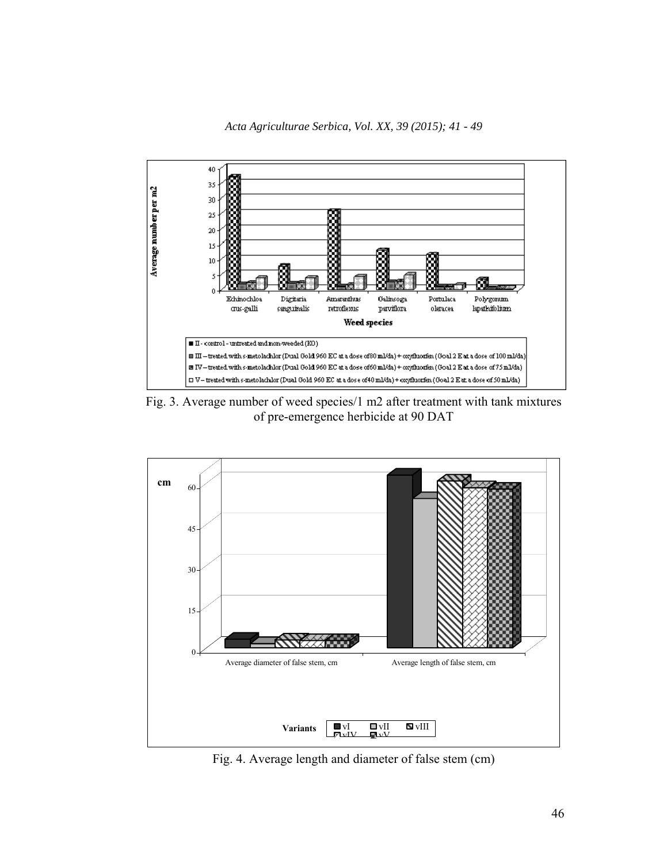



Fig. 3. Average number of weed species/1 m2 after treatment with tank mixtures of pre-emergence herbicide at 90 DAT



Fig. 4. Average length and diameter of false stem (cm)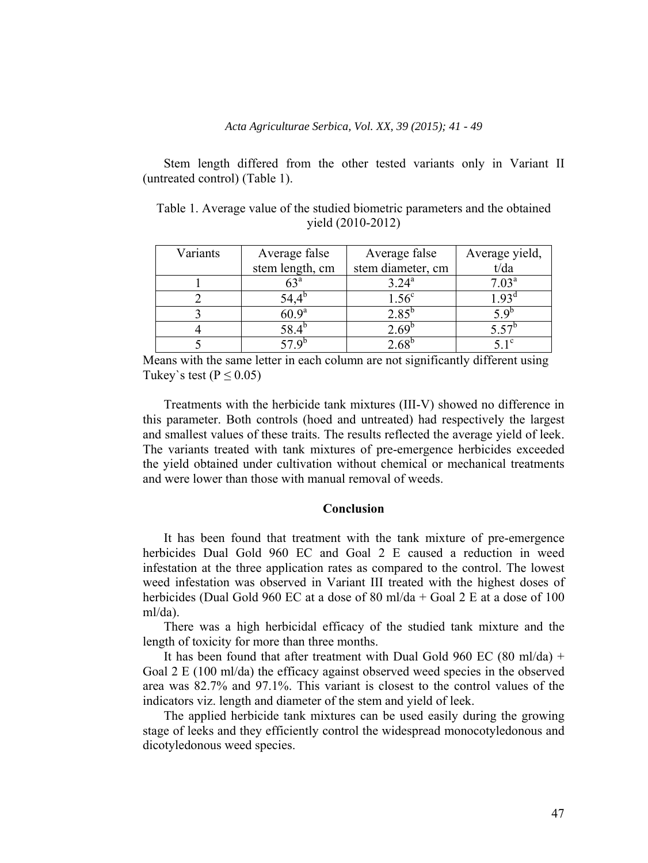Stem length differed from the other tested variants only in Variant II (untreated control) (Table 1).

| Variants | Average false   | Average false     | Average yield,    |
|----------|-----------------|-------------------|-------------------|
|          | stem length, cm | stem diameter, cm | t/da              |
|          | $63^{\circ}$    | $3.24^{\rm a}$    | 7.03 <sup>a</sup> |
|          |                 | 1.56 <sup>c</sup> | .93 <sup>a</sup>  |
|          | $60.9^{\rm a}$  | $2.85^{\circ}$    | $\leq Q^{\circ}$  |
|          |                 |                   |                   |
|          |                 |                   |                   |

Table 1. Average value of the studied biometric parameters and the obtained yield (2010-2012)

Means with the same letter in each column are not significantly different using Tukey's test ( $P \le 0.05$ )

Treatments with the herbicide tank mixtures (III-V) showed no difference in this parameter. Both controls (hoed and untreated) had respectively the largest and smallest values of these traits. The results reflected the average yield of leek. The variants treated with tank mixtures of pre-emergence herbicides exceeded the yield obtained under cultivation without chemical or mechanical treatments and were lower than those with manual removal of weeds.

#### **Conclusion**

It has been found that treatment with the tank mixture of pre-emergence herbicides Dual Gold 960 EC and Goal 2 E caused a reduction in weed infestation at the three application rates as compared to the control. The lowest weed infestation was observed in Variant III treated with the highest doses of herbicides (Dual Gold 960 EC at a dose of 80 ml/da + Goal 2 E at a dose of 100 ml/da).

There was a high herbicidal efficacy of the studied tank mixture and the length of toxicity for more than three months.

It has been found that after treatment with Dual Gold 960 EC (80 ml/da) + Goal 2 E (100 ml/da) the efficacy against observed weed species in the observed area was 82.7% and 97.1%. This variant is closest to the control values of the indicators viz. length and diameter of the stem and yield of leek.

The applied herbicide tank mixtures can be used easily during the growing stage of leeks and they efficiently control the widespread monocotyledonous and dicotyledonous weed species.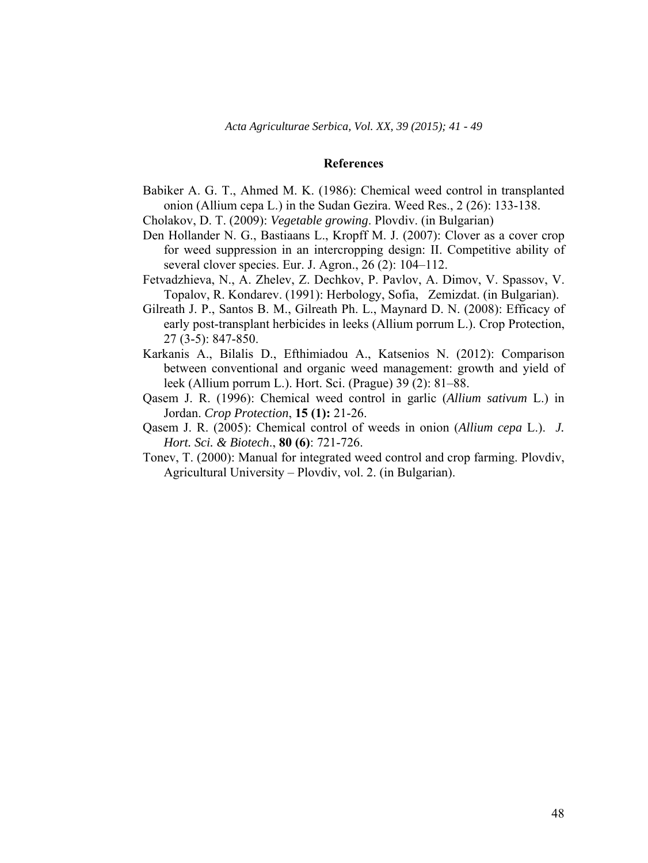#### **References**

Babiker A. G. T., Ahmed M. K. (1986): Chemical weed control in transplanted onion (Allium cepa L.) in the Sudan Gezira. Weed Res., 2 (26): 133-138.

Cholakov, D. T. (2009): *Vegetable growing*. Plovdiv. (in Bulgarian)

- Den Hollander N. G., Bastiaans L., Kropff M. J. (2007): Clover as a cover crop for weed suppression in an intercropping design: II. Competitive ability of several clover species. Eur. J. Agron., 26 (2): 104–112.
- Fetvadzhieva, N., A. Zhelev, Z. Dechkov, P. Pavlov, A. Dimov, V. Spassov, V. Topalov, R. Kondarev. (1991): Herbology, Sofia, Zemizdat. (in Bulgarian).
- Gilreath J. P., Santos B. M., Gilreath Ph. L., Maynard D. N. (2008): Efficacy of early post-transplant herbicides in leeks (Allium porrum L.). Crop Protection, 27 (3-5): 847-850.
- Karkanis A., Bilalis D., Efthimiadou A., Katsenios N. (2012): Comparison between conventional and organic weed management: growth and yield of leek (Allium porrum L.). Hort. Sci. (Prague) 39 (2): 81–88.
- Qasem J. R. (1996): Chemical weed control in garlic (*Allium sativum* L.) in Jordan. *Crop Protection*, **15 (1):** 21-26.
- Qasem J. R. (2005): Chemical control of weeds in onion (*Allium cepa* L.). *J. Hort. Sci. & Biotech*., **80 (6)**: 721-726.
- Tonev, T. (2000): Manual for integrated weed control and crop farming. Plovdiv, Agricultural University – Plovdiv, vol. 2. (in Bulgarian).